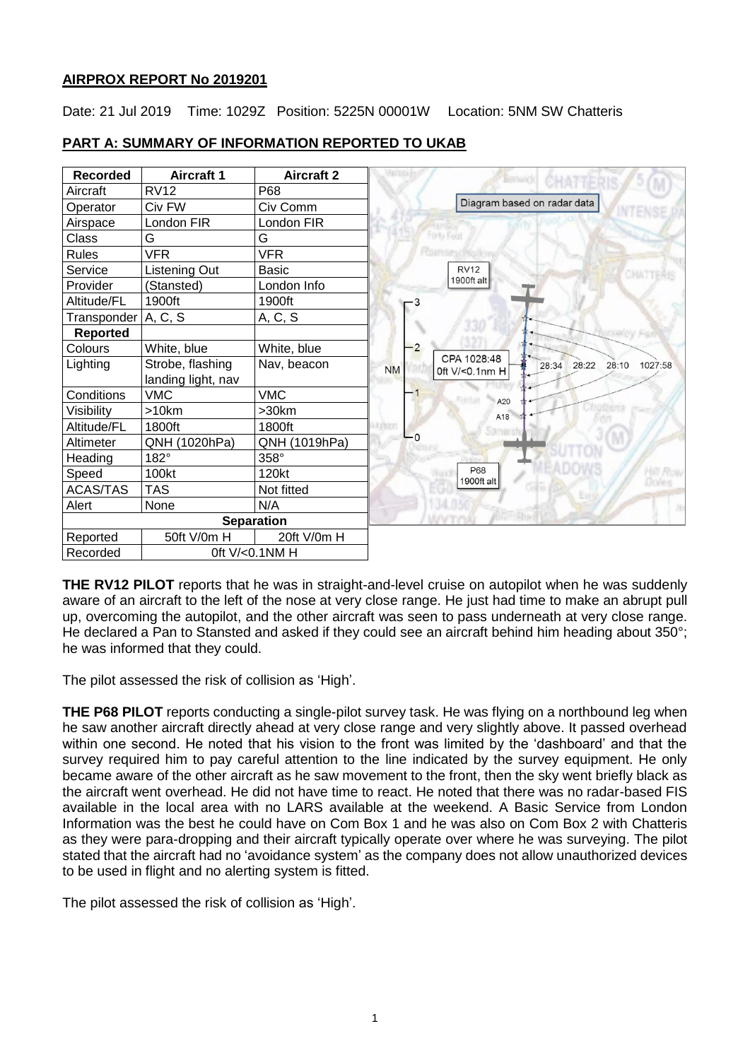## **AIRPROX REPORT No 2019201**

Date: 21 Jul 2019 Time: 1029Z Position: 5225N 00001W Location: 5NM SW Chatteris



# **PART A: SUMMARY OF INFORMATION REPORTED TO UKAB**

**THE RV12 PILOT** reports that he was in straight-and-level cruise on autopilot when he was suddenly aware of an aircraft to the left of the nose at very close range. He just had time to make an abrupt pull up, overcoming the autopilot, and the other aircraft was seen to pass underneath at very close range. He declared a Pan to Stansted and asked if they could see an aircraft behind him heading about 350°; he was informed that they could.

The pilot assessed the risk of collision as 'High'.

**THE P68 PILOT** reports conducting a single-pilot survey task. He was flying on a northbound leg when he saw another aircraft directly ahead at very close range and very slightly above. It passed overhead within one second. He noted that his vision to the front was limited by the 'dashboard' and that the survey required him to pay careful attention to the line indicated by the survey equipment. He only became aware of the other aircraft as he saw movement to the front, then the sky went briefly black as the aircraft went overhead. He did not have time to react. He noted that there was no radar-based FIS available in the local area with no LARS available at the weekend. A Basic Service from London Information was the best he could have on Com Box 1 and he was also on Com Box 2 with Chatteris as they were para-dropping and their aircraft typically operate over where he was surveying. The pilot stated that the aircraft had no 'avoidance system' as the company does not allow unauthorized devices to be used in flight and no alerting system is fitted.

The pilot assessed the risk of collision as 'High'.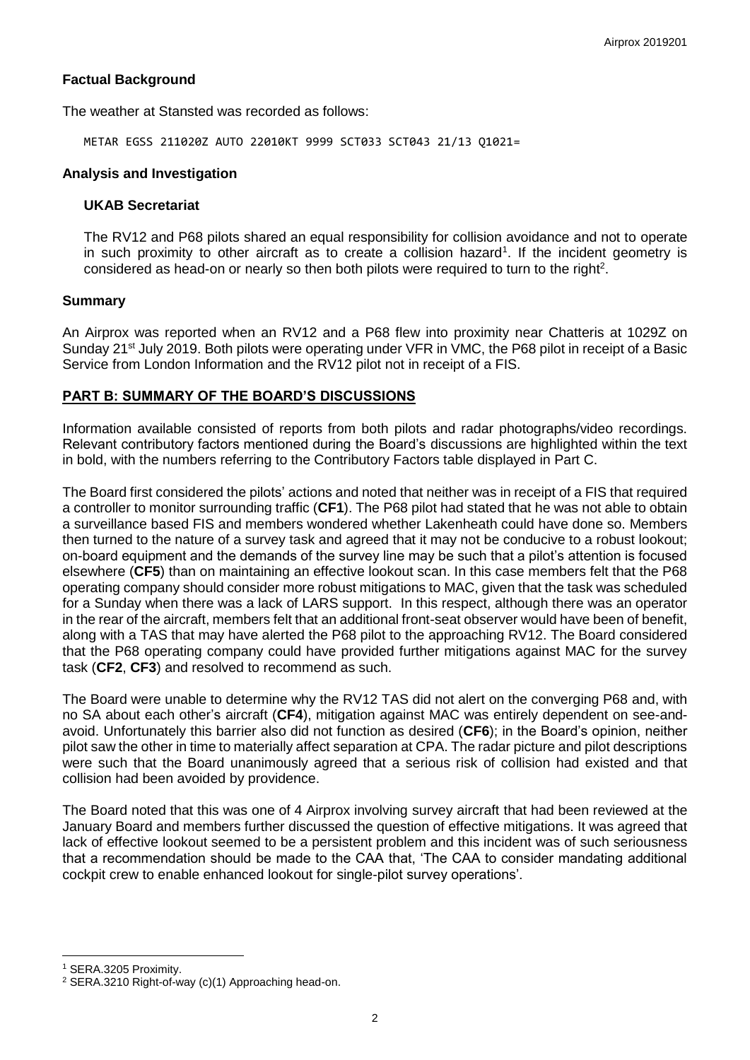#### **Factual Background**

The weather at Stansted was recorded as follows:

METAR EGSS 211020Z AUTO 22010KT 9999 SCT033 SCT043 21/13 Q1021=

#### **Analysis and Investigation**

#### **UKAB Secretariat**

The RV12 and P68 pilots shared an equal responsibility for collision avoidance and not to operate in such proximity to other aircraft as to create a collision hazard<sup>1</sup>. If the incident geometry is considered as head-on or nearly so then both pilots were required to turn to the right<sup>2</sup>.

#### **Summary**

An Airprox was reported when an RV12 and a P68 flew into proximity near Chatteris at 1029Z on Sunday 21<sup>st</sup> July 2019. Both pilots were operating under VFR in VMC, the P68 pilot in receipt of a Basic Service from London Information and the RV12 pilot not in receipt of a FIS.

## **PART B: SUMMARY OF THE BOARD'S DISCUSSIONS**

Information available consisted of reports from both pilots and radar photographs/video recordings. Relevant contributory factors mentioned during the Board's discussions are highlighted within the text in bold, with the numbers referring to the Contributory Factors table displayed in Part C.

The Board first considered the pilots' actions and noted that neither was in receipt of a FIS that required a controller to monitor surrounding traffic (**CF1**). The P68 pilot had stated that he was not able to obtain a surveillance based FIS and members wondered whether Lakenheath could have done so. Members then turned to the nature of a survey task and agreed that it may not be conducive to a robust lookout; on-board equipment and the demands of the survey line may be such that a pilot's attention is focused elsewhere (**CF5**) than on maintaining an effective lookout scan. In this case members felt that the P68 operating company should consider more robust mitigations to MAC, given that the task was scheduled for a Sunday when there was a lack of LARS support. In this respect, although there was an operator in the rear of the aircraft, members felt that an additional front-seat observer would have been of benefit, along with a TAS that may have alerted the P68 pilot to the approaching RV12. The Board considered that the P68 operating company could have provided further mitigations against MAC for the survey task (**CF2**, **CF3**) and resolved to recommend as such.

The Board were unable to determine why the RV12 TAS did not alert on the converging P68 and, with no SA about each other's aircraft (**CF4**), mitigation against MAC was entirely dependent on see-andavoid. Unfortunately this barrier also did not function as desired (**CF6**); in the Board's opinion, neither pilot saw the other in time to materially affect separation at CPA. The radar picture and pilot descriptions were such that the Board unanimously agreed that a serious risk of collision had existed and that collision had been avoided by providence.

The Board noted that this was one of 4 Airprox involving survey aircraft that had been reviewed at the January Board and members further discussed the question of effective mitigations. It was agreed that lack of effective lookout seemed to be a persistent problem and this incident was of such seriousness that a recommendation should be made to the CAA that, 'The CAA to consider mandating additional cockpit crew to enable enhanced lookout for single-pilot survey operations'.

 $\overline{a}$ 

<sup>1</sup> SERA.3205 Proximity.

<sup>2</sup> SERA.3210 Right-of-way (c)(1) Approaching head-on.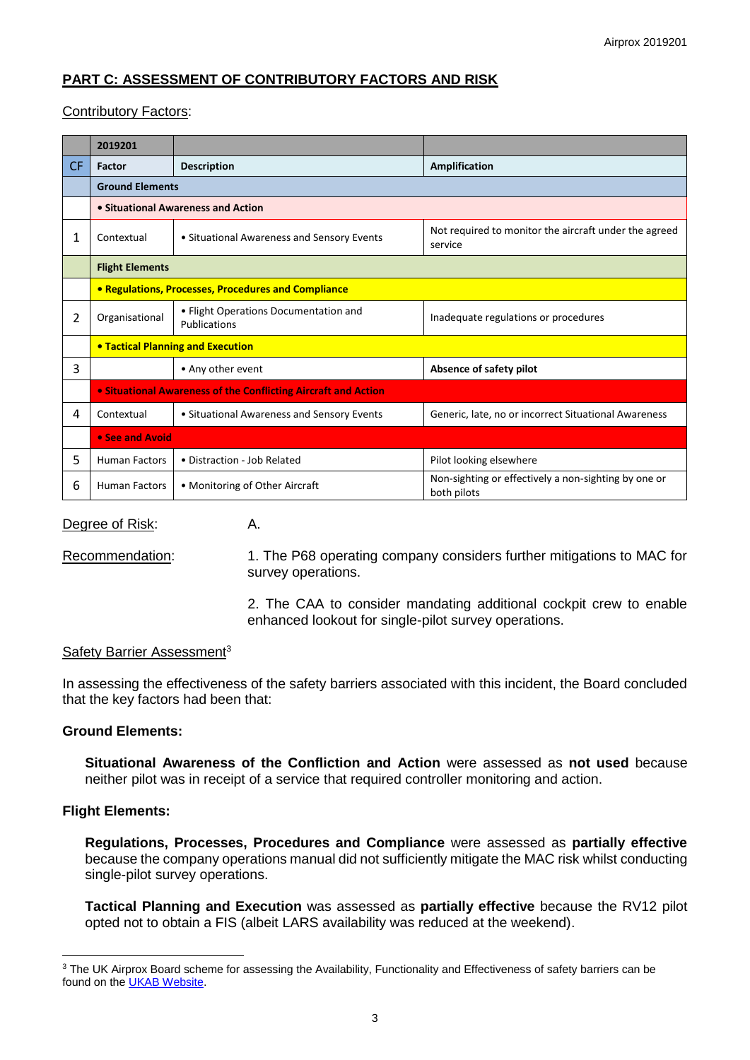# **PART C: ASSESSMENT OF CONTRIBUTORY FACTORS AND RISK**

## Contributory Factors:

|           | 2019201                                                        |                                                       |                                                                     |  |  |  |  |  |
|-----------|----------------------------------------------------------------|-------------------------------------------------------|---------------------------------------------------------------------|--|--|--|--|--|
| <b>CF</b> | Factor                                                         | <b>Description</b>                                    | Amplification                                                       |  |  |  |  |  |
|           | <b>Ground Elements</b>                                         |                                                       |                                                                     |  |  |  |  |  |
|           |                                                                | • Situational Awareness and Action                    |                                                                     |  |  |  |  |  |
| 1         | Contextual                                                     | • Situational Awareness and Sensory Events            | Not required to monitor the aircraft under the agreed<br>service    |  |  |  |  |  |
|           | <b>Flight Elements</b>                                         |                                                       |                                                                     |  |  |  |  |  |
|           | • Regulations, Processes, Procedures and Compliance            |                                                       |                                                                     |  |  |  |  |  |
| 2         | Organisational                                                 | • Flight Operations Documentation and<br>Publications | Inadequate regulations or procedures                                |  |  |  |  |  |
|           | <b>• Tactical Planning and Execution</b>                       |                                                       |                                                                     |  |  |  |  |  |
| 3         |                                                                | • Any other event                                     | Absence of safety pilot                                             |  |  |  |  |  |
|           | • Situational Awareness of the Conflicting Aircraft and Action |                                                       |                                                                     |  |  |  |  |  |
| 4         | Contextual                                                     | • Situational Awareness and Sensory Events            | Generic, late, no or incorrect Situational Awareness                |  |  |  |  |  |
|           | • See and Avoid                                                |                                                       |                                                                     |  |  |  |  |  |
| 5.        | <b>Human Factors</b>                                           | • Distraction - Job Related                           | Pilot looking elsewhere                                             |  |  |  |  |  |
| 6         | <b>Human Factors</b>                                           | • Monitoring of Other Aircraft                        | Non-sighting or effectively a non-sighting by one or<br>both pilots |  |  |  |  |  |

Degree of Risk: A.

Recommendation: 1. The P68 operating company considers further mitigations to MAC for survey operations.

> 2. The CAA to consider mandating additional cockpit crew to enable enhanced lookout for single-pilot survey operations.

#### Safety Barrier Assessment<sup>3</sup>

In assessing the effectiveness of the safety barriers associated with this incident, the Board concluded that the key factors had been that:

## **Ground Elements:**

**Situational Awareness of the Confliction and Action** were assessed as **not used** because neither pilot was in receipt of a service that required controller monitoring and action.

## **Flight Elements:**

**Regulations, Processes, Procedures and Compliance** were assessed as **partially effective** because the company operations manual did not sufficiently mitigate the MAC risk whilst conducting single-pilot survey operations.

**Tactical Planning and Execution** was assessed as **partially effective** because the RV12 pilot opted not to obtain a FIS (albeit LARS availability was reduced at the weekend).

 $\overline{a}$ <sup>3</sup> The UK Airprox Board scheme for assessing the Availability, Functionality and Effectiveness of safety barriers can be found on the [UKAB Website.](http://www.airproxboard.org.uk/Learn-more/Airprox-Barrier-Assessment/)